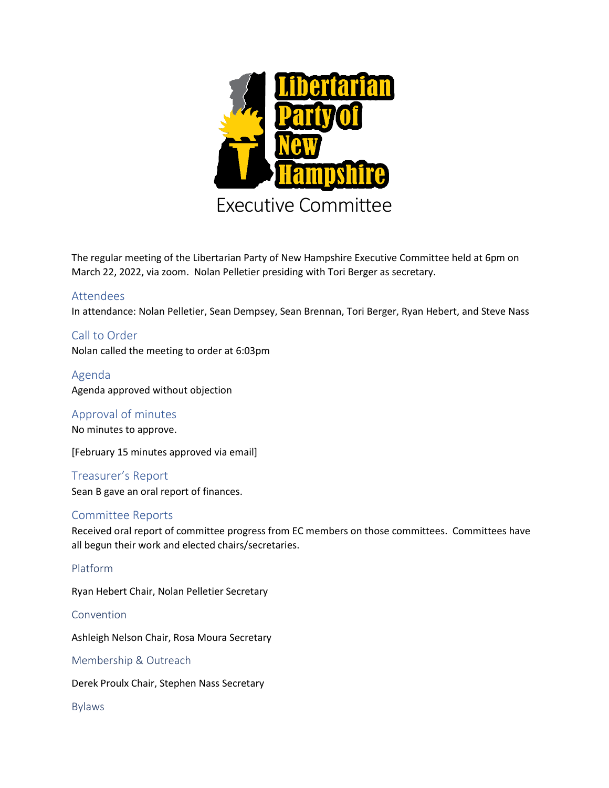

The regular meeting of the Libertarian Party of New Hampshire Executive Committee held at 6pm on March 22, 2022, via zoom. Nolan Pelletier presiding with Tori Berger as secretary.

# Attendees

In attendance: Nolan Pelletier, Sean Dempsey, Sean Brennan, Tori Berger, Ryan Hebert, and Steve Nass

Call to Order Nolan called the meeting to order at 6:03pm

Agenda Agenda approved without objection

Approval of minutes

No minutes to approve.

[February 15 minutes approved via email]

Treasurer's Report Sean B gave an oral report of finances.

# Committee Reports

Received oral report of committee progress from EC members on those committees. Committees have all begun their work and elected chairs/secretaries.

# Platform

Ryan Hebert Chair, Nolan Pelletier Secretary

Convention

Ashleigh Nelson Chair, Rosa Moura Secretary

Membership & Outreach

Derek Proulx Chair, Stephen Nass Secretary

Bylaws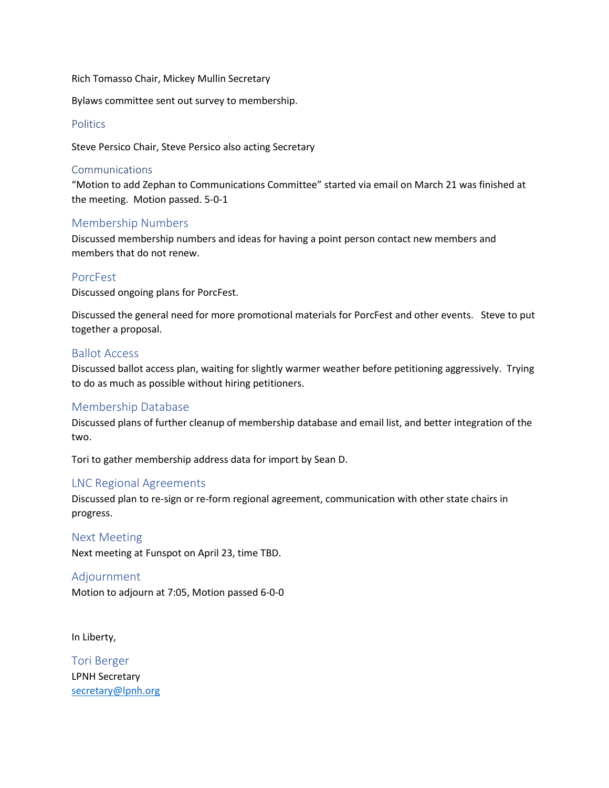Rich Tomasso Chair, Mickey Mullin Secretary

Bylaws committee sent out survey to membership.

#### **Politics**

Steve Persico Chair, Steve Persico also acting Secretary

#### Communications

"Motion to add Zephan to Communications Committee" started via email on March 21 was finished at the meeting. Motion passed. 5-0-1

### Membership Numbers

Discussed membership numbers and ideas for having a point person contact new members and members that do not renew.

### PorcFest

Discussed ongoing plans for PorcFest.

Discussed the general need for more promotional materials for PorcFest and other events. Steve to put together a proposal.

### Ballot Access

Discussed ballot access plan, waiting for slightly warmer weather before petitioning aggressively. Trying to do as much as possible without hiring petitioners.

# Membership Database

Discussed plans of further cleanup of membership database and email list, and better integration of the two.

Tori to gather membership address data for import by Sean D.

# LNC Regional Agreements

Discussed plan to re-sign or re-form regional agreement, communication with other state chairs in progress.

Next Meeting

Next meeting at Funspot on April 23, time TBD.

#### Adjournment

Motion to adjourn at 7:05, Motion passed 6-0-0

In Liberty,

Tori Berger LPNH Secretary [secretary@lpnh.org](mailto:secretary@lpnh.org)